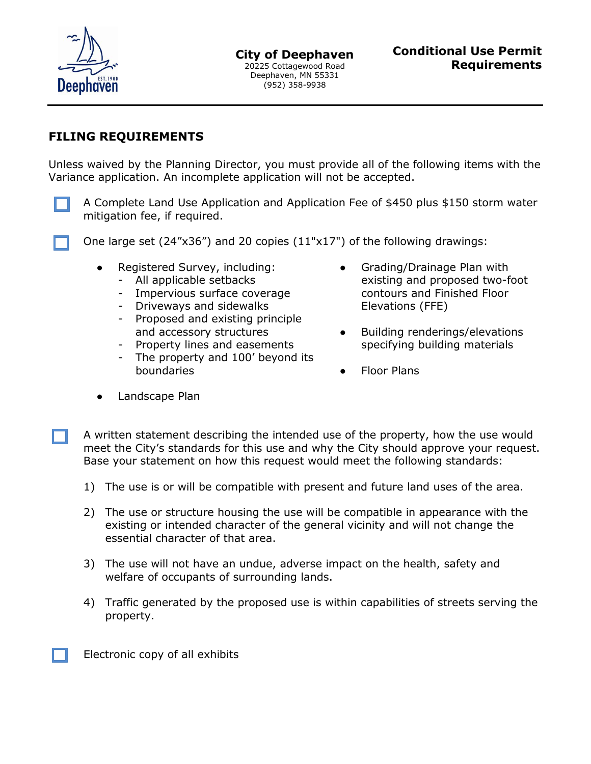

## **FILING REQUIREMENTS**

Unless waived by the Planning Director, you must provide all of the following items with the Variance application. An incomplete application will not be accepted.

A Complete Land Use Application and Application Fee of \$450 plus \$150 storm water mitigation fee, if required.

One large set (24"x36") and 20 copies (11"x17") of the following drawings:

- Registered Survey, including: • Grading/Drainage Plan with
	-
	- Impervious surface coverage contours and Finished Floor
	- Driveways and sidewalks Elevations (FFE)
	- Proposed and existing principle
	-
	- The property and 100' beyond its boundaries **boundaries boundaries**
- All applicable setbacks existing and proposed two-foot
	- and accessory structures **•** Building renderings/elevations Property lines and easements specifying building materials
		-

● Landscape Plan

A written statement describing the intended use of the property, how the use would meet the City's standards for this use and why the City should approve your request. Base your statement on how this request would meet the following standards:

- 1) The use is or will be compatible with present and future land uses of the area.
- 2) The use or structure housing the use will be compatible in appearance with the existing or intended character of the general vicinity and will not change the essential character of that area.
- 3) The use will not have an undue, adverse impact on the health, safety and welfare of occupants of surrounding lands.
- 4) Traffic generated by the proposed use is within capabilities of streets serving the property.

Electronic copy of all exhibits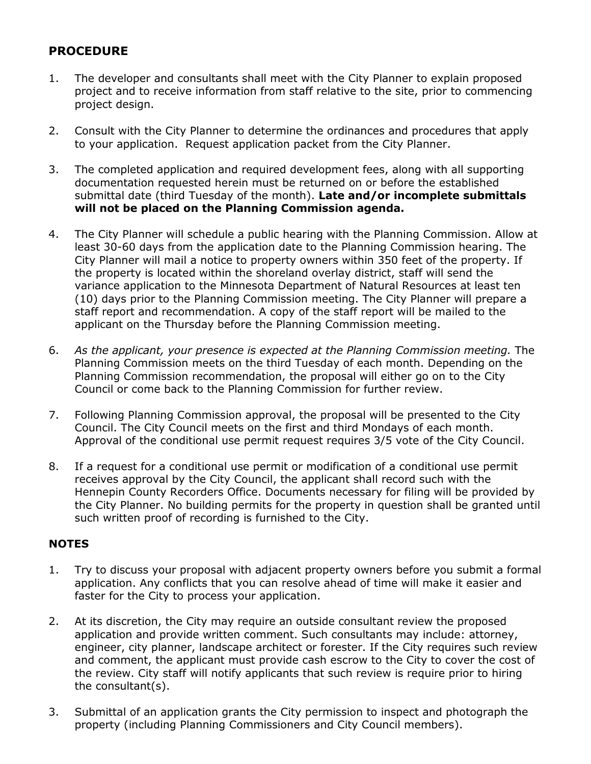# **PROCEDURE**

- 1. The developer and consultants shall meet with the City Planner to explain proposed project and to receive information from staff relative to the site, prior to commencing project design.
- 2. Consult with the City Planner to determine the ordinances and procedures that apply to your application. Request application packet from the City Planner.
- 3. The completed application and required development fees, along with all supporting documentation requested herein must be returned on or before the established submittal date (third Tuesday of the month). **Late and/or incomplete submittals will not be placed on the Planning Commission agenda.**
- 4. The City Planner will schedule a public hearing with the Planning Commission. Allow at least 30-60 days from the application date to the Planning Commission hearing. The City Planner will mail a notice to property owners within 350 feet of the property. If the property is located within the shoreland overlay district, staff will send the variance application to the Minnesota Department of Natural Resources at least ten (10) days prior to the Planning Commission meeting. The City Planner will prepare a staff report and recommendation. A copy of the staff report will be mailed to the applicant on the Thursday before the Planning Commission meeting.
- 6. *As the applicant, your presence is expected at the Planning Commission meeting.* The Planning Commission meets on the third Tuesday of each month. Depending on the Planning Commission recommendation, the proposal will either go on to the City Council or come back to the Planning Commission for further review.
- 7. Following Planning Commission approval, the proposal will be presented to the City Council. The City Council meets on the first and third Mondays of each month. Approval of the conditional use permit request requires 3/5 vote of the City Council.
- 8. If a request for a conditional use permit or modification of a conditional use permit receives approval by the City Council, the applicant shall record such with the Hennepin County Recorders Office. Documents necessary for filing will be provided by the City Planner. No building permits for the property in question shall be granted until such written proof of recording is furnished to the City.

## **NOTES**

- 1. Try to discuss your proposal with adjacent property owners before you submit a formal application. Any conflicts that you can resolve ahead of time will make it easier and faster for the City to process your application.
- 2. At its discretion, the City may require an outside consultant review the proposed application and provide written comment. Such consultants may include: attorney, engineer, city planner, landscape architect or forester. If the City requires such review and comment, the applicant must provide cash escrow to the City to cover the cost of the review. City staff will notify applicants that such review is require prior to hiring the consultant(s).
- 3. Submittal of an application grants the City permission to inspect and photograph the property (including Planning Commissioners and City Council members).